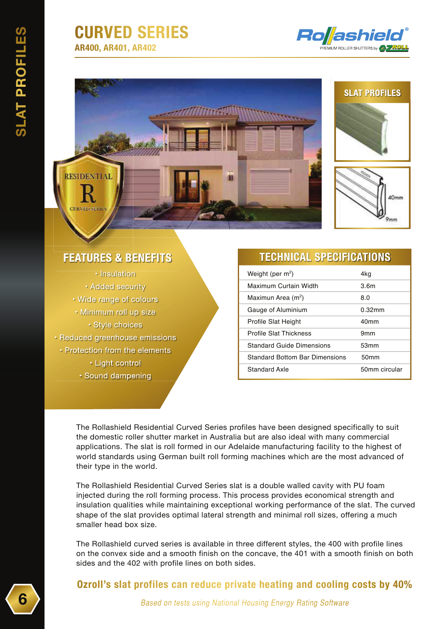## **CURVED SERIES AR400, AR401, AR402**



**SLAT PROFILES** 

### **FEATURES & BENEFITS**

RESIDENTIAL

· Insulation • Added security • Wide range of colours • Minimum roll up size · Style choices • Reduced greenhouse emissions • Protection from the elements · Light control · Sound dampening

#### **TECHNICAL SPECIFICATIONS**

| Weight (per $m^2$ )                   | 4kg              |
|---------------------------------------|------------------|
| Maximum Curtain Width                 | 3.6m             |
| Maximun Area (m <sup>2</sup> )        | 8.0              |
| Gauge of Aluminium                    | $0.32$ mm        |
| <b>Profile Slat Height</b>            | 40 <sub>mm</sub> |
| <b>Profile Slat Thickness</b>         | 9 <sub>mm</sub>  |
| <b>Standard Guide Dimensions</b>      | 53mm             |
| <b>Standard Bottom Bar Dimensions</b> | 50 <sub>mm</sub> |
| Standard Axle                         | 50mm circular    |

The Rollashield Residential Curved Series profiles have been designed specifically to suit the domestic roller shutter market in Australia but are also ideal with many commercial applications. The slat is roll formed in our Adelaide manufacturing facility to the highest of world standards using German built roll forming machines which are the most advanced of their type in the world.

(8)

The Rollashield Residential Curved Series slat is a double walled cavity with PU foam injected during the roll forming process. This process provides economical strength and insulation qualities while maintaining exceptional working performance of the slat. The curved shape of the slat provides optimal lateral strength and minimal roll sizes, offering a much smaller head box size.

The Rollashield curved series is available in three different styles, the 400 with profile lines on the convex side and a smooth finish on the concave, the 401 with a smooth finish on both sides and the 402 with profile lines on both sides.

#### **Ozroll's slat profiles can reduce private heating and cooling costs by 40%**